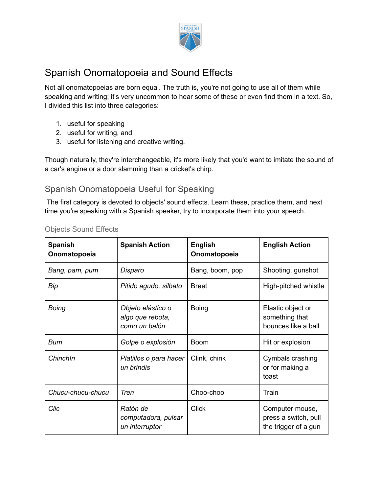

# Spanish Onomatopoeia and Sound Effects

Not all onomatopoeias are born equal. The truth is, you're not going to use all of them while speaking and writing; it's very uncommon to hear some of these or even find them in a text. So, I divided this list into three categories:

- 1. useful for speaking
- 2. useful for writing, and
- 3. useful for listening and creative writing.

Though naturally, they're interchangeable, it's more likely that you'd want to imitate the sound of a car's engine or a door slamming than a cricket's chirp.

### Spanish Onomatopoeia Useful for Speaking

The first category is devoted to objects' sound effects. Learn these, practice them, and next time you're speaking with a Spanish speaker, try to incorporate them into your speech.

| <b>Spanish</b><br>Onomatopoeia | <b>Spanish Action</b>                                  | <b>English</b><br>Onomatopoeia | <b>English Action</b>                                           |
|--------------------------------|--------------------------------------------------------|--------------------------------|-----------------------------------------------------------------|
| Bang, pam, pum                 | Disparo                                                | Bang, boom, pop                | Shooting, gunshot                                               |
| Bip                            | Pitido agudo, silbato                                  | <b>Breet</b>                   | High-pitched whistle                                            |
| <b>Boing</b>                   | Objeto elástico o<br>algo que rebota,<br>como un balón | <b>Boing</b>                   | Elastic object or<br>something that<br>bounces like a ball      |
| <b>Bum</b>                     | Golpe o explosión                                      | <b>Boom</b>                    | Hit or explosion                                                |
| Chinchín                       | Platillos o para hacer<br>un brindis                   | Clink, chink                   | Cymbals crashing<br>or for making a<br>toast                    |
| Chucu-chucu-chucu              | Tren                                                   | Choo-choo                      | Train                                                           |
| Clic                           | Ratón de<br>computadora, pulsar<br>un interruptor      | <b>Click</b>                   | Computer mouse,<br>press a switch, pull<br>the trigger of a gun |

#### Objects Sound Effects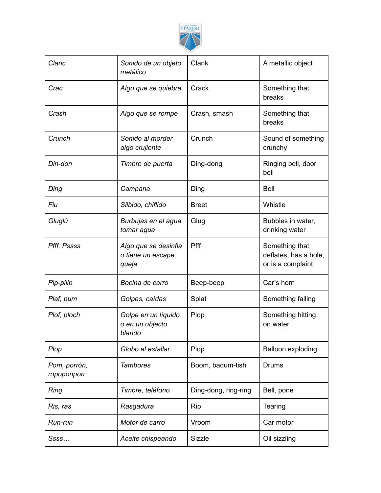

| Clanc                      | Sonido de un objeto<br>metálico                     | Clank                | A metallic object                                            |
|----------------------------|-----------------------------------------------------|----------------------|--------------------------------------------------------------|
| Crac                       | Algo que se quiebra                                 | Crack                | Something that<br>breaks                                     |
| Crash                      | Algo que se rompe                                   | Crash, smash         | Something that<br>breaks                                     |
| Crunch                     | Sonido al morder<br>algo crujiente                  | Crunch               | Sound of something<br>crunchy                                |
| Din-don                    | Timbre de puerta                                    | Ding-dong            | Ringing bell, door<br>bell                                   |
| Ding                       | Campana                                             | Ding                 | <b>Bell</b>                                                  |
| Fiu                        | Silbido, chiflido                                   | <b>Breet</b>         | Whistle                                                      |
| Gluglú                     | Burbujas en el agua,<br>tomar agua                  | Glug                 | Bubbles in water,<br>drinking water                          |
| Pfff, Pssss                | Algo que se desinfla<br>o tiene un escape,<br>queja | Pfff                 | Something that<br>deflates, has a hole,<br>or is a complaint |
| Pip-piiip                  | Bocina de carro                                     | Beep-beep            | Car's horn                                                   |
| Plaf, pum                  | Golpes, caídas                                      | Splat                | Something falling                                            |
| Plof, ploch                | Golpe en un líquido<br>o en un objecto<br>blando    | Plop                 | Something hitting<br>on water                                |
| Plop                       | Globo al estallar                                   | Plop                 | Balloon exploding                                            |
| Pom, porrón,<br>ropoponpon | <b>Tambores</b>                                     | Boom, badum-tish     | <b>Drums</b>                                                 |
| Ring                       | Timbre, teléfono                                    | Ding-dong, ring-ring | Bell, pone                                                   |
| Ris, ras                   | Rasgadura                                           | Rip                  | Tearing                                                      |
| Run-run                    | Motor de carro                                      | Vroom                | Car motor                                                    |
| Ssss                       | Aceite chispeando                                   | <b>Sizzle</b>        | Oil sizzling                                                 |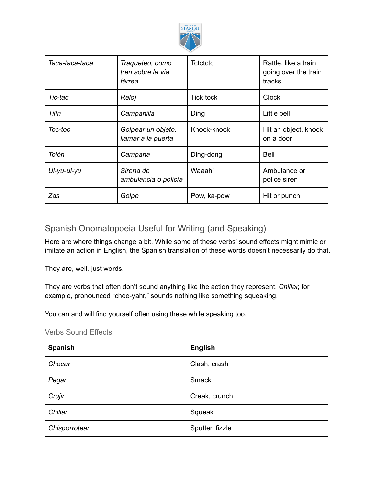

| Taca-taca-taca | Traqueteo, como<br>tren sobre la vía<br>férrea | Tctctctc         | Rattle, like a train<br>going over the train<br>tracks |
|----------------|------------------------------------------------|------------------|--------------------------------------------------------|
| Tic-tac        | Reloj                                          | <b>Tick tock</b> | <b>Clock</b>                                           |
| Tilín          | Campanilla                                     | Ding             | Little bell                                            |
| Toc-toc        | Golpear un objeto,<br>llamar a la puerta       | Knock-knock      | Hit an object, knock<br>on a door                      |
| Tolón          | Campana                                        | Ding-dong        | Bell                                                   |
| Ui-yu-ui-yu    | Sirena de<br>ambulancia o policía              | Waaah!           | Ambulance or<br>police siren                           |
| Zas            | Golpe                                          | Pow, ka-pow      | Hit or punch                                           |

## Spanish Onomatopoeia Useful for Writing (and Speaking)

Here are where things change a bit. While some of these verbs' sound effects might mimic or imitate an action in English, the Spanish translation of these words doesn't necessarily do that.

They are, well, just words.

They are verbs that often don't sound anything like the action they represent. *Chillar,* for example, pronounced "chee-yahr," sounds nothing like something squeaking.

You can and will find yourself often using these while speaking too.

| <b>Verbs Sound Effects</b> |  |  |
|----------------------------|--|--|
|----------------------------|--|--|

| <b>Spanish</b> | <b>English</b>  |
|----------------|-----------------|
| Chocar         | Clash, crash    |
| Pegar          | Smack           |
| Crujir         | Creak, crunch   |
| Chillar        | Squeak          |
| Chisporrotear  | Sputter, fizzle |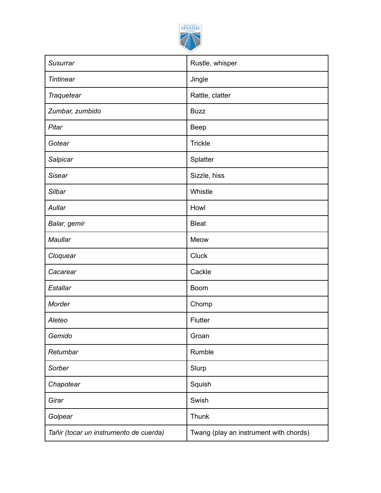

| <b>Susurrar</b>                        | Rustle, whisper                        |
|----------------------------------------|----------------------------------------|
| <b>Tintinear</b>                       | Jingle                                 |
| Traquetear                             | Rattle, clatter                        |
| Zumbar, zumbido                        | <b>Buzz</b>                            |
| Pitar                                  | <b>Beep</b>                            |
| Gotear                                 | <b>Trickle</b>                         |
| Salpicar                               | Splatter                               |
| <b>Sisear</b>                          | Sizzle, hiss                           |
| Silbar                                 | Whistle                                |
| Aullar                                 | Howl                                   |
| Balar, gemir                           | <b>Bleat</b>                           |
| Maullar                                | Meow                                   |
| Cloquear                               | <b>Cluck</b>                           |
| Cacarear                               | Cackle                                 |
| Estallar                               | <b>Boom</b>                            |
| Morder                                 | Chomp                                  |
| Aleteo                                 | Flutter                                |
| Gemido                                 | Groan                                  |
| Retumbar                               | Rumble                                 |
| Sorber                                 | Slurp                                  |
| Chapotear                              | Squish                                 |
| Girar                                  | Swish                                  |
| Golpear                                | Thunk                                  |
| Tañir (tocar un instrumento de cuerda) | Twang (play an instrument with chords) |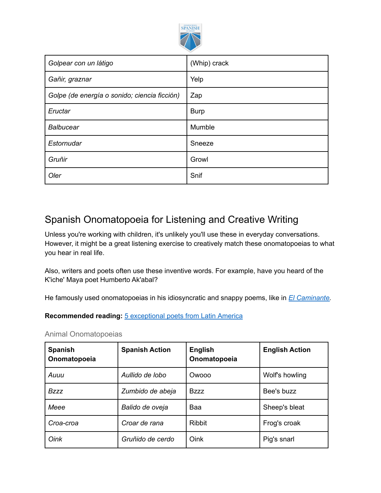

| Golpear con un látigo                        | (Whip) crack |
|----------------------------------------------|--------------|
| Gañir, graznar                               | Yelp         |
| Golpe (de energía o sonido; ciencia ficción) | Zap          |
| Eructar                                      | <b>Burp</b>  |
| <b>Balbucear</b>                             | Mumble       |
| Estornudar                                   | Sneeze       |
| Gruñir                                       | Growl        |
| Oler                                         | Snif         |

# Spanish Onomatopoeia for Listening and Creative Writing

Unless you're working with children, it's unlikely you'll use these in everyday conversations. However, it might be a great listening exercise to creatively match these onomatopoeias to what you hear in real life.

Also, writers and poets often use these inventive words. For example, have you heard of the K'iche' Maya poet Humberto Ak'abal?

He famously used onomatopoeias in his idiosyncratic and snappy poems, like in *El [Caminante.](https://2ndblended.weebly.com/uploads/2/0/2/0/20202267/unidad_1-_semana_4.pdf)*

**Recommended reading:** 5 [exceptional](https://www.spanish.academy/wp-content/uploads/2021/03/5-Exceptional-Spanish-Poems-in-Latin-American-Literature.pdf) poets from Latin America

Animal Onomatopoeias

| <b>Spanish</b><br>Onomatopoeia | <b>Spanish Action</b> | <b>English</b><br>Onomatopoeia | <b>English Action</b> |
|--------------------------------|-----------------------|--------------------------------|-----------------------|
| Auuu                           | Aullido de lobo       | Owooo                          | Wolf's howling        |
| <b>Bzzz</b>                    | Zumbido de abeja      | <b>Bzzz</b>                    | Bee's buzz            |
| Meee                           | Balido de oveja       | Baa                            | Sheep's bleat         |
| Croa-croa                      | Croar de rana         | <b>Ribbit</b>                  | Frog's croak          |
| Oink                           | Gruñido de cerdo      | Oink                           | Pig's snarl           |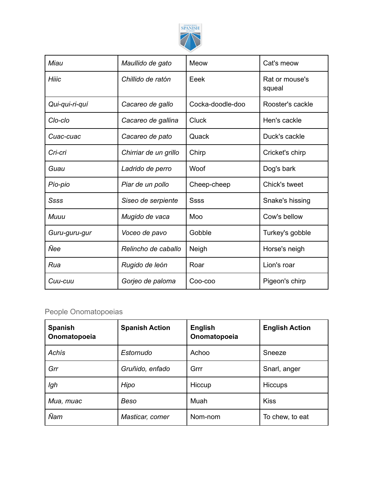

| Miau           | Maullido de gato      | Meow             | Cat's meow               |
|----------------|-----------------------|------------------|--------------------------|
| Hiiic          | Chillido de ratón     | Eeek             | Rat or mouse's<br>squeal |
| Qui-qui-ri-quí | Cacareo de gallo      | Cocka-doodle-doo | Rooster's cackle         |
| Clo-clo        | Cacareo de gallina    | <b>Cluck</b>     | Hen's cackle             |
| Cuac-cuac      | Cacareo de pato       | Quack            | Duck's cackle            |
| Cri-cri        | Chirriar de un grillo | Chirp            | Cricket's chirp          |
| Guau           | Ladrido de perro      | Woof             | Dog's bark               |
| Pío-pio        | Piar de un pollo      | Cheep-cheep      | Chick's tweet            |
| Ssss           | Siseo de serpiente    | <b>Ssss</b>      | Snake's hissing          |
| Muuu           | Mugido de vaca        | Moo              | Cow's bellow             |
| Guru-guru-gur  | Voceo de pavo         | Gobble           | Turkey's gobble          |
| Ñee            | Relincho de caballo   | Neigh            | Horse's neigh            |
| Rua            | Rugido de león        | Roar             | Lion's roar              |
| Cuu-cuu        | Gorjeo de paloma      | Coo-coo          | Pigeon's chirp           |

### People Onomatopoeias

| <b>Spanish</b><br>Onomatopoeia | <b>Spanish Action</b> | <b>English</b><br>Onomatopoeia | <b>English Action</b> |
|--------------------------------|-----------------------|--------------------------------|-----------------------|
| Achís                          | Estornudo             | Achoo                          | Sneeze                |
| Grr                            | Gruñido, enfado       | Grrr                           | Snarl, anger          |
| Igh                            | Hipo                  | Hiccup                         | <b>Hiccups</b>        |
| Mua, muac                      | Beso                  | Muah                           | <b>Kiss</b>           |
| Ñam                            | Masticar, comer       | Nom-nom                        | To chew, to eat       |